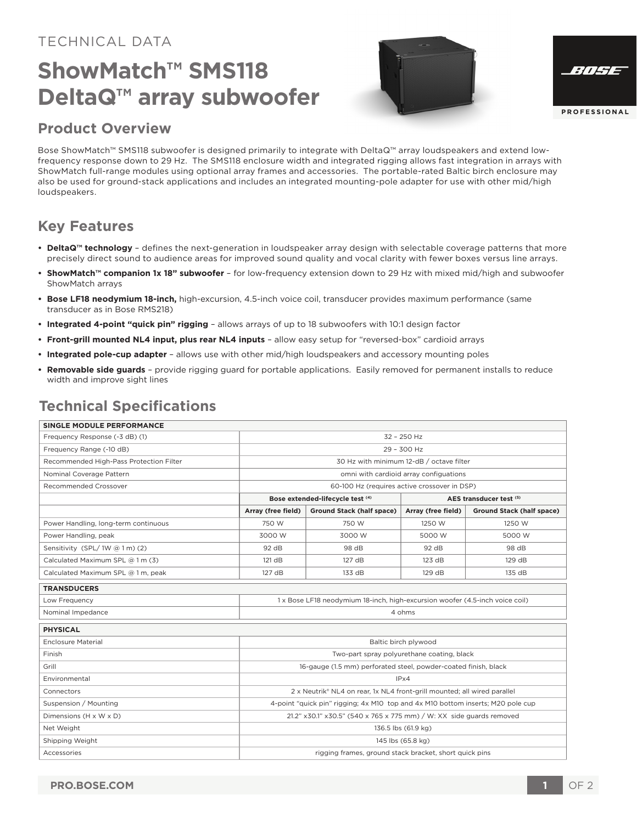### TECHNICAL DATA

# **ShowMatch™ SMS118 DeltaQ™ array subwoofer**





### **Product Overview**

Bose ShowMatch™ SMS118 subwoofer is designed primarily to integrate with DeltaQ™ array loudspeakers and extend lowfrequency response down to 29 Hz. The SMS118 enclosure width and integrated rigging allows fast integration in arrays with ShowMatch full-range modules using optional array frames and accessories. The portable-rated Baltic birch enclosure may also be used for ground-stack applications and includes an integrated mounting-pole adapter for use with other mid/high loudspeakers.

## **Key Features**

- **DeltaQ™ technology** defines the next-generation in loudspeaker array design with selectable coverage patterns that more precisely direct sound to audience areas for improved sound quality and vocal clarity with fewer boxes versus line arrays.
- **ShowMatch™ companion 1x 18" subwoofer**  for low-frequency extension down to 29 Hz with mixed mid/high and subwoofer ShowMatch arrays
- **Bose LF18 neodymium 18-inch,** high-excursion, 4.5-inch voice coil, transducer provides maximum performance (same transducer as in Bose RMS218)
- **Integrated 4-point "quick pin" rigging**  allows arrays of up to 18 subwoofers with 10:1 design factor
- **Front-grill mounted NL4 input, plus rear NL4 inputs**  allow easy setup for "reversed-box" cardioid arrays
- **Integrated pole-cup adapter**  allows use with other mid/high loudspeakers and accessory mounting poles
- **Removable side guards**  provide rigging guard for portable applications. Easily removed for permanent installs to reduce width and improve sight lines

## **Technical Specifications**

| <b>SINGLE MODULE PERFORMANCE</b>        |                                                                                 |                           |                         |                           |
|-----------------------------------------|---------------------------------------------------------------------------------|---------------------------|-------------------------|---------------------------|
| Frequency Response (-3 dB) (1)          | 32 - 250 Hz                                                                     |                           |                         |                           |
| Frequency Range (-10 dB)                | 29 - 300 Hz                                                                     |                           |                         |                           |
| Recommended High-Pass Protection Filter | 30 Hz with minimum 12-dB / octave filter                                        |                           |                         |                           |
| Nominal Coverage Pattern                | omni with cardioid array configuations                                          |                           |                         |                           |
| Recommended Crossover                   | 60-100 Hz (requires active crossover in DSP)                                    |                           |                         |                           |
|                                         | Bose extended-lifecycle test (4)                                                |                           | AES transducer test (5) |                           |
|                                         | Array (free field)                                                              | Ground Stack (half space) | Array (free field)      | Ground Stack (half space) |
| Power Handling, long-term continuous    | 750 W                                                                           | 750 W                     | 1250 W                  | 1250 W                    |
| Power Handling, peak                    | 3000 W                                                                          | 3000 W                    | 5000 W                  | 5000 W                    |
| Sensitivity (SPL/1W @ 1 m) (2)          | 92 dB                                                                           | 98 dB                     | 92 dB                   | 98 dB                     |
| Calculated Maximum SPL @ 1 m (3)        | 121 dB                                                                          | 127 dB                    | 123 dB                  | 129 dB                    |
| Calculated Maximum SPL @ 1 m, peak      | 127 dB                                                                          | 133 dB                    | 129 dB                  | 135 dB                    |
| <b>TRANSDUCERS</b>                      |                                                                                 |                           |                         |                           |
| Low Frequency                           | 1 x Bose LF18 neodymium 18-inch, high-excursion woofer (4.5-inch voice coil)    |                           |                         |                           |
| Nominal Impedance                       | 4 ohms                                                                          |                           |                         |                           |
| <b>PHYSICAL</b>                         |                                                                                 |                           |                         |                           |
| <b>Enclosure Material</b>               | Baltic birch plywood                                                            |                           |                         |                           |
| Finish                                  | Two-part spray polyurethane coating, black                                      |                           |                         |                           |
| Grill                                   | 16-gauge (1.5 mm) perforated steel, powder-coated finish, black                 |                           |                         |                           |
| Environmental                           | IPx4                                                                            |                           |                         |                           |
| Connectors                              | 2 x Neutrik® NL4 on rear, 1x NL4 front-grill mounted; all wired parallel        |                           |                         |                           |
| Suspension / Mounting                   | 4-point "quick pin" rigging; 4x M10 top and 4x M10 bottom inserts; M20 pole cup |                           |                         |                           |
| Dimensions (H x W x D)                  | 21.2" x30.1" x30.5" (540 x 765 x 775 mm) / W: XX side guards removed            |                           |                         |                           |
| Net Weight                              | 136.5 lbs (61.9 kg)                                                             |                           |                         |                           |
| Shipping Weight                         | 145 lbs (65.8 kg)                                                               |                           |                         |                           |
| Accessories                             | rigging frames, ground stack bracket, short quick pins                          |                           |                         |                           |